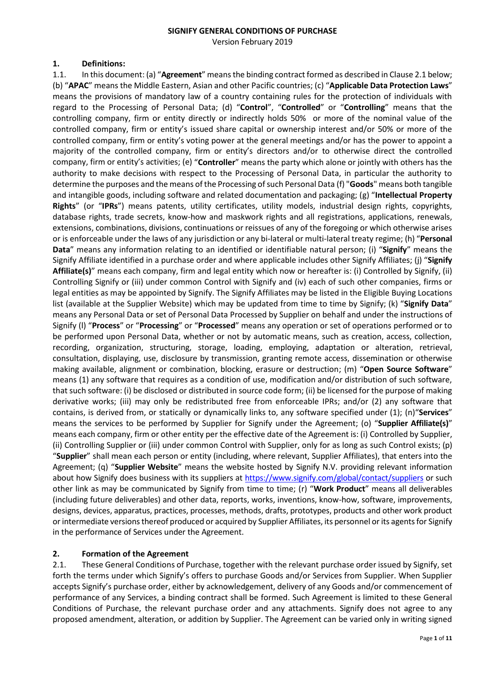#### **SIGNIFY GENERAL CONDITIONS OF PURCHASE**

Version February 2019

#### **1. Definitions:**

1.1. In this document: (a) "**Agreement**" means the binding contract formed as described in Clause 2.1 below; (b) "**APAC**" means the Middle Eastern, Asian and other Pacific countries; (c) "**Applicable Data Protection Laws**" means the provisions of mandatory law of a country containing rules for the protection of individuals with regard to the Processing of Personal Data; (d) "**Control**", "**Controlled**" or "**Controlling**" means that the controlling company, firm or entity directly or indirectly holds 50% or more of the nominal value of the controlled company, firm or entity's issued share capital or ownership interest and/or 50% or more of the controlled company, firm or entity's voting power at the general meetings and/or has the power to appoint a majority of the controlled company, firm or entity's directors and/or to otherwise direct the controlled company, firm or entity's activities; (e) "**Controller**" means the party which alone or jointly with others has the authority to make decisions with respect to the Processing of Personal Data, in particular the authority to determine the purposes and the means of the Processing of such Personal Data (f) "**Goods**" means both tangible and intangible goods, including software and related documentation and packaging; (g) "**Intellectual Property Rights**" (or "**IPRs**") means patents, utility certificates, utility models, industrial design rights, copyrights, database rights, trade secrets, know-how and maskwork rights and all registrations, applications, renewals, extensions, combinations, divisions, continuations or reissues of any of the foregoing or which otherwise arises or is enforceable under the laws of any jurisdiction or any bi-lateral or multi-lateral treaty regime; (h) "**Personal Data**" means any information relating to an identified or identifiable natural person; (i) "**Signify**" means the Signify Affiliate identified in a purchase order and where applicable includes other Signify Affiliates; (j) "**Signify Affiliate(s)**" means each company, firm and legal entity which now or hereafter is: (i) Controlled by Signify, (ii) Controlling Signify or (iii) under common Control with Signify and (iv) each of such other companies, firms or legal entities as may be appointed by Signify. The Signify Affiliates may be listed in the Eligible Buying Locations list (available at the Supplier Website) which may be updated from time to time by Signify; (k) "**Signify Data**" means any Personal Data or set of Personal Data Processed by Supplier on behalf and under the instructions of Signify (l) "**Process**" or "**Processing**" or "**Processed**" means any operation or set of operations performed or to be performed upon Personal Data, whether or not by automatic means, such as creation, access, collection, recording, organization, structuring, storage, loading, employing, adaptation or alteration, retrieval, consultation, displaying, use, disclosure by transmission, granting remote access, dissemination or otherwise making available, alignment or combination, blocking, erasure or destruction; (m) "**Open Source Software**" means (1) any software that requires as a condition of use, modification and/or distribution of such software, that such software: (i) be disclosed or distributed in source code form; (ii) be licensed for the purpose of making derivative works; (iii) may only be redistributed free from enforceable IPRs; and/or (2) any software that contains, is derived from, or statically or dynamically links to, any software specified under (1); (n)"**Services**" means the services to be performed by Supplier for Signify under the Agreement; (o) "**Supplier Affiliate(s)**" means each company, firm or other entity per the effective date of the Agreement is: (i) Controlled by Supplier, (ii) Controlling Supplier or (iii) under common Control with Supplier, only for as long as such Control exists; (p) "**Supplier**" shall mean each person or entity (including, where relevant, Supplier Affiliates), that enters into the Agreement; (q) "**Supplier Website**" means the website hosted by Signify N.V. providing relevant information about how Signify does business with its suppliers at <https://www.signify.com/global/contact/suppliers> or such other link as may be communicated by Signify from time to time; (r) "**Work Product**" means all deliverables (including future deliverables) and other data, reports, works, inventions, know-how, software, improvements, designs, devices, apparatus, practices, processes, methods, drafts, prototypes, products and other work product or intermediate versions thereof produced or acquired by Supplier Affiliates, its personnel or its agents for Signify in the performance of Services under the Agreement.

### **2. Formation of the Agreement**

2.1. These General Conditions of Purchase, together with the relevant purchase order issued by Signify, set forth the terms under which Signify's offers to purchase Goods and/or Services from Supplier. When Supplier accepts Signify's purchase order, either by acknowledgement, delivery of any Goods and/or commencement of performance of any Services, a binding contract shall be formed. Such Agreement is limited to these General Conditions of Purchase, the relevant purchase order and any attachments. Signify does not agree to any proposed amendment, alteration, or addition by Supplier. The Agreement can be varied only in writing signed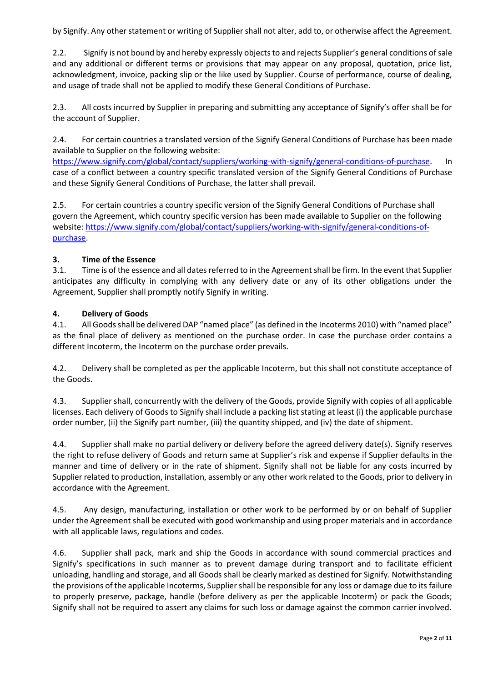by Signify. Any other statement or writing of Supplier shall not alter, add to, or otherwise affect the Agreement.

2.2. Signify is not bound by and hereby expressly objects to and rejects Supplier's general conditions of sale and any additional or different terms or provisions that may appear on any proposal, quotation, price list, acknowledgment, invoice, packing slip or the like used by Supplier. Course of performance, course of dealing, and usage of trade shall not be applied to modify these General Conditions of Purchase.

2.3. All costs incurred by Supplier in preparing and submitting any acceptance of Signify's offer shall be for the account of Supplier.

2.4. For certain countries a translated version of the Signify General Conditions of Purchase has been made available to Supplier on the following website:

https://www[.signify.](https://www.signify.com/global/contact/suppliers/working-with-signify/general-conditions-of-purchase)com/global/contact/suppliers/working-with-signify/general-conditions-of-purchase. In case of a conflict between a country specific translated version of the Signify General Conditions of Purchase and these Signify General Conditions of Purchase, the latter shall prevail.

2.5. For certain countries a country specific version of the Signify General Conditions of Purchase shall govern the Agreement, which country specific version has been made available to Supplier on the following website[: https://www.signify.com/global/contact/suppliers/working-with-signify/general-conditions-of](https://www.signify.com/global/contact/suppliers/working-with-signify/general-conditions-of-purchase)[purchase.](https://www.signify.com/global/contact/suppliers/working-with-signify/general-conditions-of-purchase)

#### **3. Time of the Essence**

3.1. Time is of the essence and all dates referred to in the Agreement shall be firm. In the event that Supplier anticipates any difficulty in complying with any delivery date or any of its other obligations under the Agreement, Supplier shall promptly notify Signify in writing.

#### **4. Delivery of Goods**

4.1. All Goods shall be delivered DAP "named place" (as defined in the Incoterms 2010) with "named place" as the final place of delivery as mentioned on the purchase order. In case the purchase order contains a different Incoterm, the Incoterm on the purchase order prevails.

4.2. Delivery shall be completed as per the applicable Incoterm, but this shall not constitute acceptance of the Goods.

4.3. Supplier shall, concurrently with the delivery of the Goods, provide Signify with copies of all applicable licenses. Each delivery of Goods to Signify shall include a packing list stating at least (i) the applicable purchase order number, (ii) the Signify part number, (iii) the quantity shipped, and (iv) the date of shipment.

4.4. Supplier shall make no partial delivery or delivery before the agreed delivery date(s). Signify reserves the right to refuse delivery of Goods and return same at Supplier's risk and expense if Supplier defaults in the manner and time of delivery or in the rate of shipment. Signify shall not be liable for any costs incurred by Supplier related to production, installation, assembly or any other work related to the Goods, prior to delivery in accordance with the Agreement.

4.5. Any design, manufacturing, installation or other work to be performed by or on behalf of Supplier under the Agreement shall be executed with good workmanship and using proper materials and in accordance with all applicable laws, regulations and codes.

4.6. Supplier shall pack, mark and ship the Goods in accordance with sound commercial practices and Signify's specifications in such manner as to prevent damage during transport and to facilitate efficient unloading, handling and storage, and all Goods shall be clearly marked as destined for Signify. Notwithstanding the provisions of the applicable Incoterms, Supplier shall be responsible for any loss or damage due to its failure to properly preserve, package, handle (before delivery as per the applicable Incoterm) or pack the Goods; Signify shall not be required to assert any claims for such loss or damage against the common carrier involved.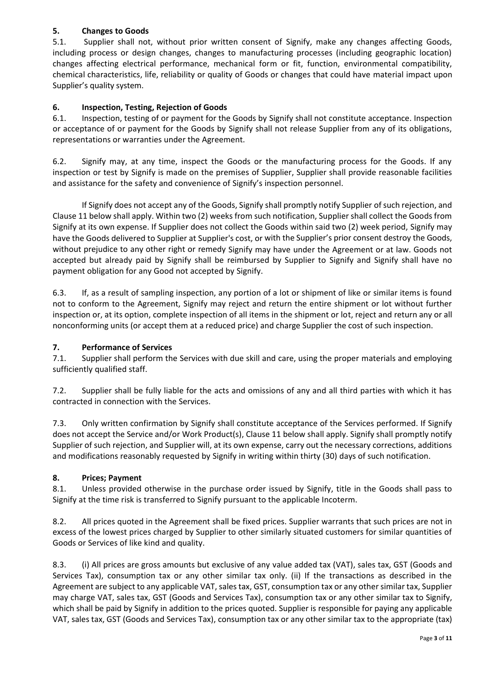# **5. Changes to Goods**

5.1. Supplier shall not, without prior written consent of Signify, make any changes affecting Goods, including process or design changes, changes to manufacturing processes (including geographic location) changes affecting electrical performance, mechanical form or fit, function, environmental compatibility, chemical characteristics, life, reliability or quality of Goods or changes that could have material impact upon Supplier's quality system.

# **6. Inspection, Testing, Rejection of Goods**

6.1. Inspection, testing of or payment for the Goods by Signify shall not constitute acceptance. Inspection or acceptance of or payment for the Goods by Signify shall not release Supplier from any of its obligations, representations or warranties under the Agreement.

6.2. Signify may, at any time, inspect the Goods or the manufacturing process for the Goods. If any inspection or test by Signify is made on the premises of Supplier, Supplier shall provide reasonable facilities and assistance for the safety and convenience of Signify's inspection personnel.

If Signify does not accept any of the Goods, Signify shall promptly notify Supplier of such rejection, and Clause 11 below shall apply. Within two (2) weeks from such notification, Supplier shall collect the Goods from Signify at its own expense. If Supplier does not collect the Goods within said two (2) week period, Signify may have the Goods delivered to Supplier at Supplier's cost, or with the Supplier's prior consent destroy the Goods, without prejudice to any other right or remedy Signify may have under the Agreement or at law. Goods not accepted but already paid by Signify shall be reimbursed by Supplier to Signify and Signify shall have no payment obligation for any Good not accepted by Signify.

6.3. If, as a result of sampling inspection, any portion of a lot or shipment of like or similar items is found not to conform to the Agreement, Signify may reject and return the entire shipment or lot without further inspection or, at its option, complete inspection of all items in the shipment or lot, reject and return any or all nonconforming units (or accept them at a reduced price) and charge Supplier the cost of such inspection.

## **7. Performance of Services**

7.1. Supplier shall perform the Services with due skill and care, using the proper materials and employing sufficiently qualified staff.

7.2. Supplier shall be fully liable for the acts and omissions of any and all third parties with which it has contracted in connection with the Services.

7.3. Only written confirmation by Signify shall constitute acceptance of the Services performed. If Signify does not accept the Service and/or Work Product(s), Clause 11 below shall apply. Signify shall promptly notify Supplier of such rejection, and Supplier will, at its own expense, carry out the necessary corrections, additions and modifications reasonably requested by Signify in writing within thirty (30) days of such notification.

## **8. Prices; Payment**

8.1. Unless provided otherwise in the purchase order issued by Signify, title in the Goods shall pass to Signify at the time risk is transferred to Signify pursuant to the applicable Incoterm.

8.2. All prices quoted in the Agreement shall be fixed prices. Supplier warrants that such prices are not in excess of the lowest prices charged by Supplier to other similarly situated customers for similar quantities of Goods or Services of like kind and quality.

8.3. (i) All prices are gross amounts but exclusive of any value added tax (VAT), sales tax, GST (Goods and Services Tax), consumption tax or any other similar tax only. (ii) If the transactions as described in the Agreement are subject to any applicable VAT, sales tax, GST, consumption tax or any other similar tax, Supplier may charge VAT, sales tax, GST (Goods and Services Tax), consumption tax or any other similar tax to Signify, which shall be paid by Signify in addition to the prices quoted. Supplier is responsible for paying any applicable VAT, sales tax, GST (Goods and Services Tax), consumption tax or any other similar tax to the appropriate (tax)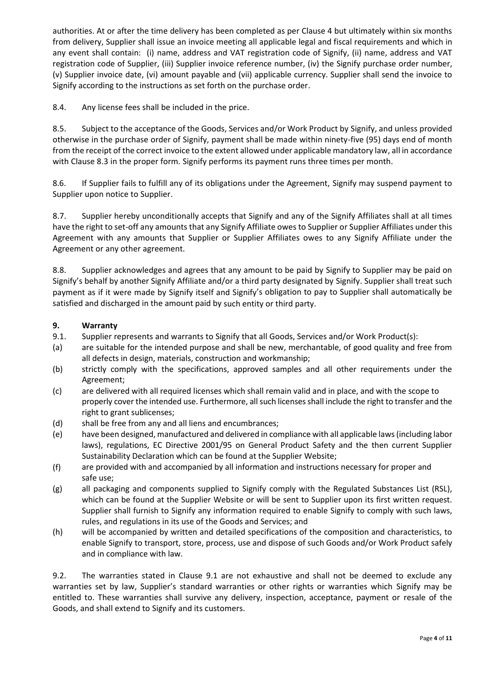authorities. At or after the time delivery has been completed as per Clause 4 but ultimately within six months from delivery, Supplier shall issue an invoice meeting all applicable legal and fiscal requirements and which in any event shall contain: (i) name, address and VAT registration code of Signify, (ii) name, address and VAT registration code of Supplier, (iii) Supplier invoice reference number, (iv) the Signify purchase order number, (v) Supplier invoice date, (vi) amount payable and (vii) applicable currency. Supplier shall send the invoice to Signify according to the instructions as set forth on the purchase order.

8.4. Any license fees shall be included in the price.

8.5. Subject to the acceptance of the Goods, Services and/or Work Product by Signify, and unless provided otherwise in the purchase order of Signify, payment shall be made within ninety-five (95) days end of month from the receipt of the correct invoice to the extent allowed under applicable mandatory law, all in accordance with Clause 8.3 in the proper form. Signify performs its payment runs three times per month.

8.6. If Supplier fails to fulfill any of its obligations under the Agreement, Signify may suspend payment to Supplier upon notice to Supplier.

8.7. Supplier hereby unconditionally accepts that Signify and any of the Signify Affiliates shall at all times have the right to set-off any amounts that any Signify Affiliate owes to Supplier or Supplier Affiliates under this Agreement with any amounts that Supplier or Supplier Affiliates owes to any Signify Affiliate under the Agreement or any other agreement.

8.8. Supplier acknowledges and agrees that any amount to be paid by Signify to Supplier may be paid on Signify's behalf by another Signify Affiliate and/or a third party designated by Signify. Supplier shall treat such payment as if it were made by Signify itself and Signify's obligation to pay to Supplier shall automatically be satisfied and discharged in the amount paid by such entity or third party.

## **9. Warranty**

- 9.1. Supplier represents and warrants to Signify that all Goods, Services and/or Work Product(s):
- (a) are suitable for the intended purpose and shall be new, merchantable, of good quality and free from all defects in design, materials, construction and workmanship;
- (b) strictly comply with the specifications, approved samples and all other requirements under the Agreement;
- (c) are delivered with all required licenses which shall remain valid and in place, and with the scope to properly cover the intended use. Furthermore, all such licenses shall include the right to transfer and the right to grant sublicenses;
- (d) shall be free from any and all liens and encumbrances;
- (e) have been designed, manufactured and delivered in compliance with all applicable laws (including labor laws), regulations, EC Directive 2001/95 on General Product Safety and the then current Supplier Sustainability Declaration which can be found at the Supplier Website;
- (f) are provided with and accompanied by all information and instructions necessary for proper and safe use;
- (g) all packaging and components supplied to Signify comply with the Regulated Substances List (RSL), which can be found at the Supplier Website or will be sent to Supplier upon its first written request. Supplier shall furnish to Signify any information required to enable Signify to comply with such laws, rules, and regulations in its use of the Goods and Services; and
- (h) will be accompanied by written and detailed specifications of the composition and characteristics, to enable Signify to transport, store, process, use and dispose of such Goods and/or Work Product safely and in compliance with law.

9.2. The warranties stated in Clause 9.1 are not exhaustive and shall not be deemed to exclude any warranties set by law, Supplier's standard warranties or other rights or warranties which Signify may be entitled to. These warranties shall survive any delivery, inspection, acceptance, payment or resale of the Goods, and shall extend to Signify and its customers.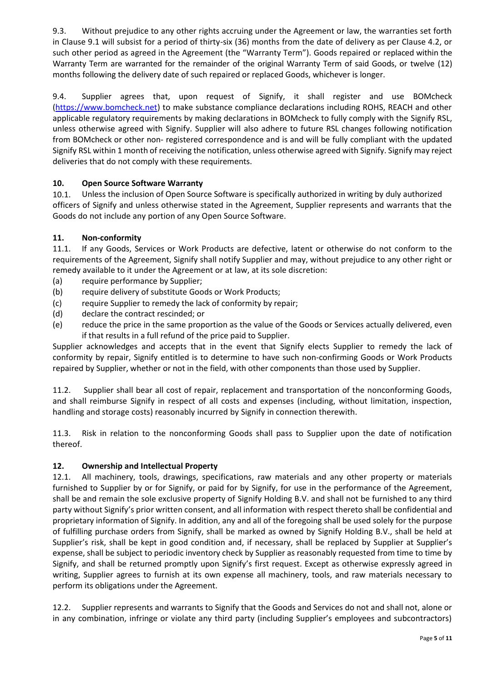9.3. Without prejudice to any other rights accruing under the Agreement or law, the warranties set forth in Clause 9.1 will subsist for a period of thirty-six (36) months from the date of delivery as per Clause 4.2, or such other period as agreed in the Agreement (the "Warranty Term"). Goods repaired or replaced within the Warranty Term are warranted for the remainder of the original Warranty Term of said Goods, or twelve (12) months following the delivery date of such repaired or replaced Goods, whichever is longer.

9.4. Supplier agrees that, upon request of Signify, it shall register and use BOMcheck [\(https://www.bomcheck.net\)](https://www.bomcheck.net/) to make substance compliance declarations including ROHS, REACH and other applicable regulatory requirements by making declarations in BOMcheck to fully comply with the Signify RSL, unless otherwise agreed with Signify. Supplier will also adhere to future RSL changes following notification from BOMcheck or other non- registered correspondence and is and will be fully compliant with the updated Signify RSL within 1 month of receiving the notification, unless otherwise agreed with Signify. Signify may reject deliveries that do not comply with these requirements.

# **10. Open Source Software Warranty**

10.1. Unless the inclusion of Open Source Software is specifically authorized in writing by duly authorized officers of Signify and unless otherwise stated in the Agreement, Supplier represents and warrants that the Goods do not include any portion of any Open Source Software.

# **11. Non-conformity**

11.1. If any Goods, Services or Work Products are defective, latent or otherwise do not conform to the requirements of the Agreement, Signify shall notify Supplier and may, without prejudice to any other right or remedy available to it under the Agreement or at law, at its sole discretion:

- (a) require performance by Supplier;
- (b) require delivery of substitute Goods or Work Products;
- (c) require Supplier to remedy the lack of conformity by repair;
- (d) declare the contract rescinded; or
- (e) reduce the price in the same proportion as the value of the Goods or Services actually delivered, even if that results in a full refund of the price paid to Supplier.

Supplier acknowledges and accepts that in the event that Signify elects Supplier to remedy the lack of conformity by repair, Signify entitled is to determine to have such non-confirming Goods or Work Products repaired by Supplier, whether or not in the field, with other components than those used by Supplier.

11.2. Supplier shall bear all cost of repair, replacement and transportation of the nonconforming Goods, and shall reimburse Signify in respect of all costs and expenses (including, without limitation, inspection, handling and storage costs) reasonably incurred by Signify in connection therewith.

11.3. Risk in relation to the nonconforming Goods shall pass to Supplier upon the date of notification thereof.

## **12. Ownership and Intellectual Property**

12.1. All machinery, tools, drawings, specifications, raw materials and any other property or materials furnished to Supplier by or for Signify, or paid for by Signify, for use in the performance of the Agreement, shall be and remain the sole exclusive property of Signify Holding B.V. and shall not be furnished to any third party without Signify's prior written consent, and all information with respect thereto shall be confidential and proprietary information of Signify. In addition, any and all of the foregoing shall be used solely for the purpose of fulfilling purchase orders from Signify, shall be marked as owned by Signify Holding B.V., shall be held at Supplier's risk, shall be kept in good condition and, if necessary, shall be replaced by Supplier at Supplier's expense, shall be subject to periodic inventory check by Supplier as reasonably requested from time to time by Signify, and shall be returned promptly upon Signify's first request. Except as otherwise expressly agreed in writing, Supplier agrees to furnish at its own expense all machinery, tools, and raw materials necessary to perform its obligations under the Agreement.

12.2. Supplier represents and warrants to Signify that the Goods and Services do not and shall not, alone or in any combination, infringe or violate any third party (including Supplier's employees and subcontractors)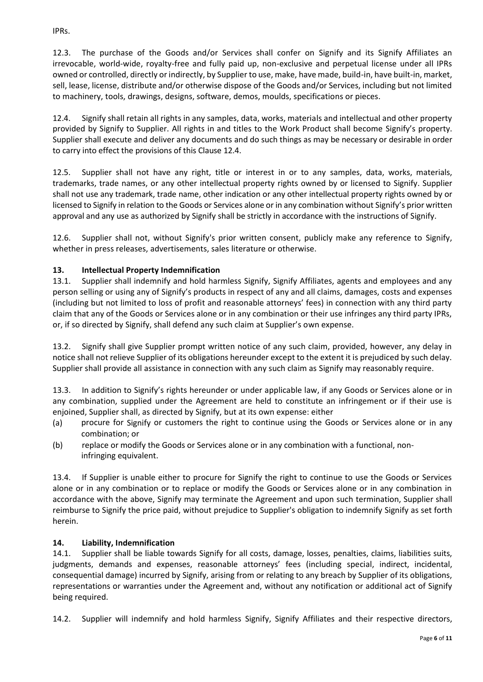IPRs.

12.3. The purchase of the Goods and/or Services shall confer on Signify and its Signify Affiliates an irrevocable, world-wide, royalty-free and fully paid up, non-exclusive and perpetual license under all IPRs owned or controlled, directly or indirectly, by Supplier to use, make, have made, build-in, have built-in, market, sell, lease, license, distribute and/or otherwise dispose of the Goods and/or Services, including but not limited to machinery, tools, drawings, designs, software, demos, moulds, specifications or pieces.

12.4. Signify shall retain all rights in any samples, data, works, materials and intellectual and other property provided by Signify to Supplier. All rights in and titles to the Work Product shall become Signify's property. Supplier shall execute and deliver any documents and do such things as may be necessary or desirable in order to carry into effect the provisions of this Clause 12.4.

12.5. Supplier shall not have any right, title or interest in or to any samples, data, works, materials, trademarks, trade names, or any other intellectual property rights owned by or licensed to Signify. Supplier shall not use any trademark, trade name, other indication or any other intellectual property rights owned by or licensed to Signify in relation to the Goods or Services alone or in any combination without Signify's prior written approval and any use as authorized by Signify shall be strictly in accordance with the instructions of Signify.

12.6. Supplier shall not, without Signify's prior written consent, publicly make any reference to Signify, whether in press releases, advertisements, sales literature or otherwise.

# **13. Intellectual Property Indemnification**

13.1. Supplier shall indemnify and hold harmless Signify, Signify Affiliates, agents and employees and any person selling or using any of Signify's products in respect of any and all claims, damages, costs and expenses (including but not limited to loss of profit and reasonable attorneys' fees) in connection with any third party claim that any of the Goods or Services alone or in any combination or their use infringes any third party IPRs, or, if so directed by Signify, shall defend any such claim at Supplier's own expense.

13.2. Signify shall give Supplier prompt written notice of any such claim, provided, however, any delay in notice shall not relieve Supplier of its obligations hereunder except to the extent it is prejudiced by such delay. Supplier shall provide all assistance in connection with any such claim as Signify may reasonably require.

13.3. In addition to Signify's rights hereunder or under applicable law, if any Goods or Services alone or in any combination, supplied under the Agreement are held to constitute an infringement or if their use is enjoined, Supplier shall, as directed by Signify, but at its own expense: either

- (a) procure for Signify or customers the right to continue using the Goods or Services alone or in any combination; or
- (b) replace or modify the Goods or Services alone or in any combination with a functional, noninfringing equivalent.

13.4. If Supplier is unable either to procure for Signify the right to continue to use the Goods or Services alone or in any combination or to replace or modify the Goods or Services alone or in any combination in accordance with the above, Signify may terminate the Agreement and upon such termination, Supplier shall reimburse to Signify the price paid, without prejudice to Supplier's obligation to indemnify Signify as set forth herein.

## **14. Liability, Indemnification**

14.1. Supplier shall be liable towards Signify for all costs, damage, losses, penalties, claims, liabilities suits, judgments, demands and expenses, reasonable attorneys' fees (including special, indirect, incidental, consequential damage) incurred by Signify, arising from or relating to any breach by Supplier of its obligations, representations or warranties under the Agreement and, without any notification or additional act of Signify being required.

14.2. Supplier will indemnify and hold harmless Signify, Signify Affiliates and their respective directors,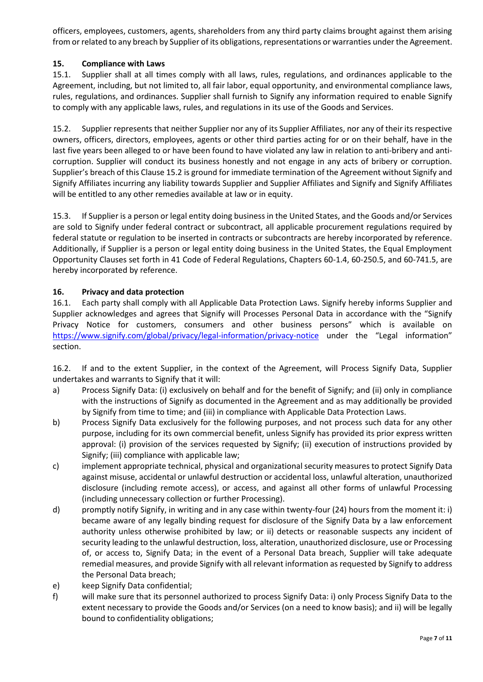officers, employees, customers, agents, shareholders from any third party claims brought against them arising from or related to any breach by Supplier of its obligations, representations or warranties under the Agreement.

### **15. Compliance with Laws**

15.1. Supplier shall at all times comply with all laws, rules, regulations, and ordinances applicable to the Agreement, including, but not limited to, all fair labor, equal opportunity, and environmental compliance laws, rules, regulations, and ordinances. Supplier shall furnish to Signify any information required to enable Signify to comply with any applicable laws, rules, and regulations in its use of the Goods and Services.

15.2. Supplier represents that neither Supplier nor any of its Supplier Affiliates, nor any of their its respective owners, officers, directors, employees, agents or other third parties acting for or on their behalf, have in the last five years been alleged to or have been found to have violated any law in relation to anti-bribery and anticorruption. Supplier will conduct its business honestly and not engage in any acts of bribery or corruption. Supplier's breach of this Clause 15.2 is ground for immediate termination of the Agreement without Signify and Signify Affiliates incurring any liability towards Supplier and Supplier Affiliates and Signify and Signify Affiliates will be entitled to any other remedies available at law or in equity.

15.3. If Supplier is a person or legal entity doing business in the United States, and the Goods and/or Services are sold to Signify under federal contract or subcontract, all applicable procurement regulations required by federal statute or regulation to be inserted in contracts or subcontracts are hereby incorporated by reference. Additionally, if Supplier is a person or legal entity doing business in the United States, the Equal Employment Opportunity Clauses set forth in 41 Code of Federal Regulations, Chapters 60-1.4, 60-250.5, and 60-741.5, are hereby incorporated by reference.

#### **16. Privacy and data protection**

16.1. Each party shall comply with all Applicable Data Protection Laws. Signify hereby informs Supplier and Supplier acknowledges and agrees that Signify will Processes Personal Data in accordance with the "Signify Privacy Notice for customers, consumers and other business persons" which is available on <https://www.signify.com/global/privacy/legal-information/privacy-notice> under the "Legal information" section.

16.2. If and to the extent Supplier, in the context of the Agreement, will Process Signify Data, Supplier undertakes and warrants to Signify that it will:

- a) Process Signify Data: (i) exclusively on behalf and for the benefit of Signify; and (ii) only in compliance with the instructions of Signify as documented in the Agreement and as may additionally be provided by Signify from time to time; and (iii) in compliance with Applicable Data Protection Laws.
- b) Process Signify Data exclusively for the following purposes, and not process such data for any other purpose, including for its own commercial benefit, unless Signify has provided its prior express written approval: (i) provision of the services requested by Signify; (ii) execution of instructions provided by Signify; (iii) compliance with applicable law;
- c) implement appropriate technical, physical and organizational security measures to protect Signify Data against misuse, accidental or unlawful destruction or accidental loss, unlawful alteration, unauthorized disclosure (including remote access), or access, and against all other forms of unlawful Processing (including unnecessary collection or further Processing).
- d) promptly notify Signify, in writing and in any case within twenty-four (24) hours from the moment it: i) became aware of any legally binding request for disclosure of the Signify Data by a law enforcement authority unless otherwise prohibited by law; or ii) detects or reasonable suspects any incident of security leading to the unlawful destruction, loss, alteration, unauthorized disclosure, use or Processing of, or access to, Signify Data; in the event of a Personal Data breach, Supplier will take adequate remedial measures, and provide Signify with all relevant information as requested by Signify to address the Personal Data breach;
- e) keep Signify Data confidential;
- f) will make sure that its personnel authorized to process Signify Data: i) only Process Signify Data to the extent necessary to provide the Goods and/or Services (on a need to know basis); and ii) will be legally bound to confidentiality obligations;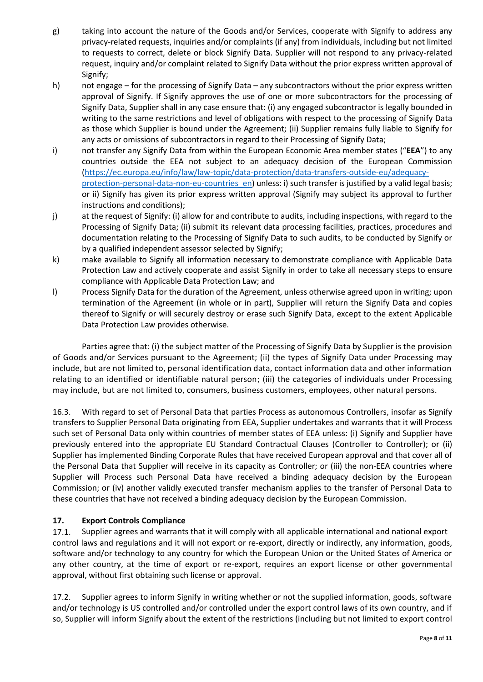- g) taking into account the nature of the Goods and/or Services, cooperate with Signify to address any privacy-related requests, inquiries and/or complaints (if any) from individuals, including but not limited to requests to correct, delete or block Signify Data. Supplier will not respond to any privacy-related request, inquiry and/or complaint related to Signify Data without the prior express written approval of Signify;
- h) not engage for the processing of Signify Data any subcontractors without the prior express written approval of Signify. If Signify approves the use of one or more subcontractors for the processing of Signify Data, Supplier shall in any case ensure that: (i) any engaged subcontractor is legally bounded in writing to the same restrictions and level of obligations with respect to the processing of Signify Data as those which Supplier is bound under the Agreement; (ii) Supplier remains fully liable to Signify for any acts or omissions of subcontractors in regard to their Processing of Signify Data;
- i) not transfer any Signify Data from within the European Economic Area member states ("**EEA**") to any countries outside the EEA not subject to an adequacy decision of the European Commission [\(https://ec.europa.eu/info/law/law-topic/data-protection/data-transfers-outside-eu/adequacy](https://ec.europa.eu/info/law/law-topic/data-protection/data-transfers-outside-eu/adequacy-protection-personal-data-non-eu-countries_en)protection-personal-data-non-eu-countries en) unless: i) such transfer is justified by a valid legal basis; or ii) Signify has given its prior express written approval (Signify may subject its approval to further instructions and conditions);
- j) at the request of Signify: (i) allow for and contribute to audits, including inspections, with regard to the Processing of Signify Data; (ii) submit its relevant data processing facilities, practices, procedures and documentation relating to the Processing of Signify Data to such audits, to be conducted by Signify or by a qualified independent assessor selected by Signify;
- k) make available to Signify all information necessary to demonstrate compliance with Applicable Data Protection Law and actively cooperate and assist Signify in order to take all necessary steps to ensure compliance with Applicable Data Protection Law; and
- l) Process Signify Data for the duration of the Agreement, unless otherwise agreed upon in writing; upon termination of the Agreement (in whole or in part), Supplier will return the Signify Data and copies thereof to Signify or will securely destroy or erase such Signify Data, except to the extent Applicable Data Protection Law provides otherwise.

Parties agree that: (i) the subject matter of the Processing of Signify Data by Supplier is the provision of Goods and/or Services pursuant to the Agreement; (ii) the types of Signify Data under Processing may include, but are not limited to, personal identification data, contact information data and other information relating to an identified or identifiable natural person; (iii) the categories of individuals under Processing may include, but are not limited to, consumers, business customers, employees, other natural persons.

16.3. With regard to set of Personal Data that parties Process as autonomous Controllers, insofar as Signify transfers to Supplier Personal Data originating from EEA, Supplier undertakes and warrants that it will Process such set of Personal Data only within countries of member states of EEA unless: (i) Signify and Supplier have previously entered into the appropriate EU Standard Contractual Clauses (Controller to Controller); or (ii) Supplier has implemented Binding Corporate Rules that have received European approval and that cover all of the Personal Data that Supplier will receive in its capacity as Controller; or (iii) the non-EEA countries where Supplier will Process such Personal Data have received a binding adequacy decision by the European Commission; or (iv) another validly executed transfer mechanism applies to the transfer of Personal Data to these countries that have not received a binding adequacy decision by the European Commission.

# **17. Export Controls Compliance**

17.1. Supplier agrees and warrants that it will comply with all applicable international and national export control laws and regulations and it will not export or re-export, directly or indirectly, any information, goods, software and/or technology to any country for which the European Union or the United States of America or any other country, at the time of export or re-export, requires an export license or other governmental approval, without first obtaining such license or approval.

17.2. Supplier agrees to inform Signify in writing whether or not the supplied information, goods, software and/or technology is US controlled and/or controlled under the export control laws of its own country, and if so, Supplier will inform Signify about the extent of the restrictions (including but not limited to export control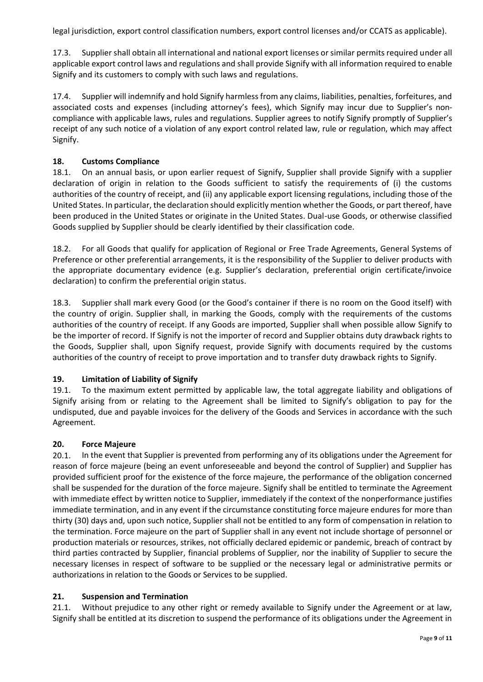legal jurisdiction, export control classification numbers, export control licenses and/or CCATS as applicable).

17.3. Supplier shall obtain all international and national export licenses or similar permits required under all applicable export control laws and regulations and shall provide Signify with all information required to enable Signify and its customers to comply with such laws and regulations.

17.4. Supplier will indemnify and hold Signify harmless from any claims, liabilities, penalties, forfeitures, and associated costs and expenses (including attorney's fees), which Signify may incur due to Supplier's noncompliance with applicable laws, rules and regulations. Supplier agrees to notify Signify promptly of Supplier's receipt of any such notice of a violation of any export control related law, rule or regulation, which may affect Signify.

# **18. Customs Compliance**

18.1. On an annual basis, or upon earlier request of Signify, Supplier shall provide Signify with a supplier declaration of origin in relation to the Goods sufficient to satisfy the requirements of (i) the customs authorities of the country of receipt, and (ii) any applicable export licensing regulations, including those of the United States. In particular, the declaration should explicitly mention whether the Goods, or part thereof, have been produced in the United States or originate in the United States. Dual-use Goods, or otherwise classified Goods supplied by Supplier should be clearly identified by their classification code.

18.2. For all Goods that qualify for application of Regional or Free Trade Agreements, General Systems of Preference or other preferential arrangements, it is the responsibility of the Supplier to deliver products with the appropriate documentary evidence (e.g. Supplier's declaration, preferential origin certificate/invoice declaration) to confirm the preferential origin status.

18.3. Supplier shall mark every Good (or the Good's container if there is no room on the Good itself) with the country of origin. Supplier shall, in marking the Goods, comply with the requirements of the customs authorities of the country of receipt. If any Goods are imported, Supplier shall when possible allow Signify to be the importer of record. If Signify is not the importer of record and Supplier obtains duty drawback rights to the Goods, Supplier shall, upon Signify request, provide Signify with documents required by the customs authorities of the country of receipt to prove importation and to transfer duty drawback rights to Signify.

## **19. Limitation of Liability of Signify**

19.1. To the maximum extent permitted by applicable law, the total aggregate liability and obligations of Signify arising from or relating to the Agreement shall be limited to Signify's obligation to pay for the undisputed, due and payable invoices for the delivery of the Goods and Services in accordance with the such Agreement.

## **20. Force Majeure**

20.1. In the event that Supplier is prevented from performing any of its obligations under the Agreement for reason of force majeure (being an event unforeseeable and beyond the control of Supplier) and Supplier has provided sufficient proof for the existence of the force majeure, the performance of the obligation concerned shall be suspended for the duration of the force majeure. Signify shall be entitled to terminate the Agreement with immediate effect by written notice to Supplier, immediately if the context of the nonperformance justifies immediate termination, and in any event if the circumstance constituting force majeure endures for more than thirty (30) days and, upon such notice, Supplier shall not be entitled to any form of compensation in relation to the termination. Force majeure on the part of Supplier shall in any event not include shortage of personnel or production materials or resources, strikes, not officially declared epidemic or pandemic, breach of contract by third parties contracted by Supplier, financial problems of Supplier, nor the inability of Supplier to secure the necessary licenses in respect of software to be supplied or the necessary legal or administrative permits or authorizations in relation to the Goods or Services to be supplied.

## **21. Suspension and Termination**

21.1. Without prejudice to any other right or remedy available to Signify under the Agreement or at law, Signify shall be entitled at its discretion to suspend the performance of its obligations under the Agreement in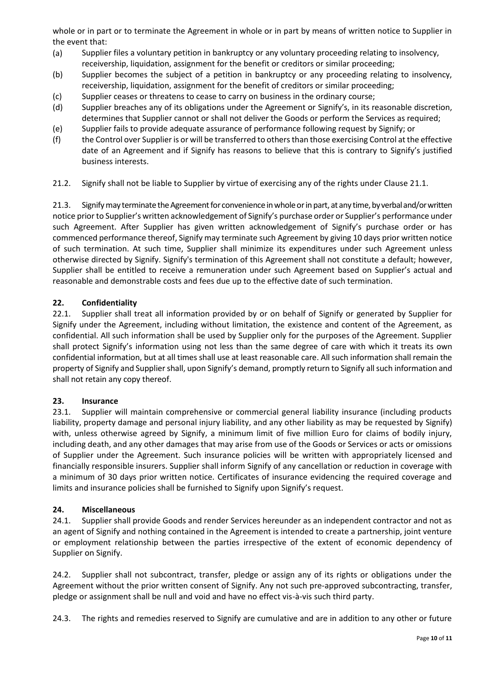whole or in part or to terminate the Agreement in whole or in part by means of written notice to Supplier in the event that:

- (a) Supplier files a voluntary petition in bankruptcy or any voluntary proceeding relating to insolvency, receivership, liquidation, assignment for the benefit or creditors or similar proceeding;
- (b) Supplier becomes the subject of a petition in bankruptcy or any proceeding relating to insolvency, receivership, liquidation, assignment for the benefit of creditors or similar proceeding;
- (c) Supplier ceases or threatens to cease to carry on business in the ordinary course;
- (d) Supplier breaches any of its obligations under the Agreement or Signify's, in its reasonable discretion, determines that Supplier cannot or shall not deliver the Goods or perform the Services as required;
- (e) Supplier fails to provide adequate assurance of performance following request by Signify; or
- (f) the Control over Supplier is or will be transferred to others than those exercising Control at the effective date of an Agreement and if Signify has reasons to believe that this is contrary to Signify's justified business interests.

21.2. Signify shall not be liable to Supplier by virtue of exercising any of the rights under Clause 21.1.

21.3. Signifymay terminate the Agreement for convenience in whole or in part, at any time, by verbal and/or written notice prior to Supplier's written acknowledgement of Signify's purchase order or Supplier's performance under such Agreement. After Supplier has given written acknowledgement of Signify's purchase order or has commenced performance thereof, Signify may terminate such Agreement by giving 10 days prior written notice of such termination. At such time, Supplier shall minimize its expenditures under such Agreement unless otherwise directed by Signify. Signify's termination of this Agreement shall not constitute a default; however, Supplier shall be entitled to receive a remuneration under such Agreement based on Supplier's actual and reasonable and demonstrable costs and fees due up to the effective date of such termination.

#### **22. Confidentiality**

22.1. Supplier shall treat all information provided by or on behalf of Signify or generated by Supplier for Signify under the Agreement, including without limitation, the existence and content of the Agreement, as confidential. All such information shall be used by Supplier only for the purposes of the Agreement. Supplier shall protect Signify's information using not less than the same degree of care with which it treats its own confidential information, but at all times shall use at least reasonable care. All such information shall remain the property of Signify and Supplier shall, upon Signify's demand, promptly return to Signify all such information and shall not retain any copy thereof.

#### **23. Insurance**

23.1. Supplier will maintain comprehensive or commercial general liability insurance (including products liability, property damage and personal injury liability, and any other liability as may be requested by Signify) with, unless otherwise agreed by Signify, a minimum limit of five million Euro for claims of bodily injury, including death, and any other damages that may arise from use of the Goods or Services or acts or omissions of Supplier under the Agreement. Such insurance policies will be written with appropriately licensed and financially responsible insurers. Supplier shall inform Signify of any cancellation or reduction in coverage with a minimum of 30 days prior written notice. Certificates of insurance evidencing the required coverage and limits and insurance policies shall be furnished to Signify upon Signify's request.

#### **24. Miscellaneous**

24.1. Supplier shall provide Goods and render Services hereunder as an independent contractor and not as an agent of Signify and nothing contained in the Agreement is intended to create a partnership, joint venture or employment relationship between the parties irrespective of the extent of economic dependency of Supplier on Signify.

24.2. Supplier shall not subcontract, transfer, pledge or assign any of its rights or obligations under the Agreement without the prior written consent of Signify. Any not such pre-approved subcontracting, transfer, pledge or assignment shall be null and void and have no effect vis-à-vis such third party.

24.3. The rights and remedies reserved to Signify are cumulative and are in addition to any other or future